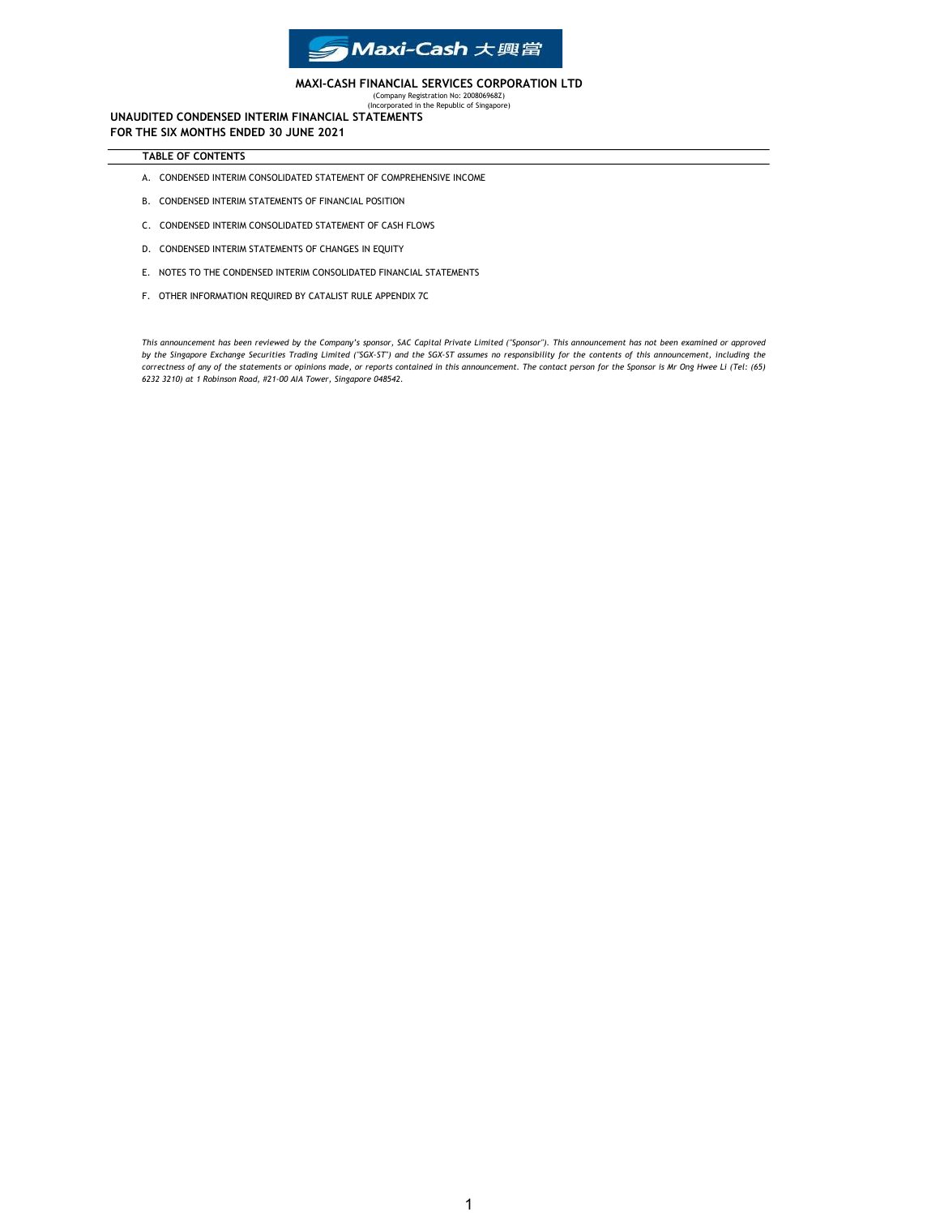

### MAXI-CASH FINANCIAL SERVICES CORPORATION LTD

(Company Registration No: 200806968Z) (Incorporated in the Republic of Singapore)

UNAUDITED CONDENSED INTERIM FINANCIAL STATEMENTS FOR THE SIX MONTHS ENDED 30 JUNE 2021

### TABLE OF CONTENTS

- A. CONDENSED INTERIM CONSOLIDATED STATEMENT OF COMPREHENSIVE INCOME
- B. CONDENSED INTERIM STATEMENTS OF FINANCIAL POSITION
- C. CONDENSED INTERIM CONSOLIDATED STATEMENT OF CASH FLOWS
- D. CONDENSED INTERIM STATEMENTS OF CHANGES IN EQUITY
- E. NOTES TO THE CONDENSED INTERIM CONSOLIDATED FINANCIAL STATEMENTS
- F. OTHER INFORMATION REQUIRED BY CATALIST RULE APPENDIX 7C

This announcement has been reviewed by the Company's sponsor, SAC Capital Private Limited ("Sponsor"). This announcement has not been examined or approved by the Singapore Exchange Securities Trading Limited ("SGX-ST") and the SGX-ST assumes no responsibility for the contents of this announcement, including the correctness of any of the statements or opinions made, or reports contained in this announcement. The contact person for the Sponsor is Mr Ong Hwee Li (Tel: (65) 6232 3210) at 1 Robinson Road, #21-00 AIA Tower, Singapore 048542.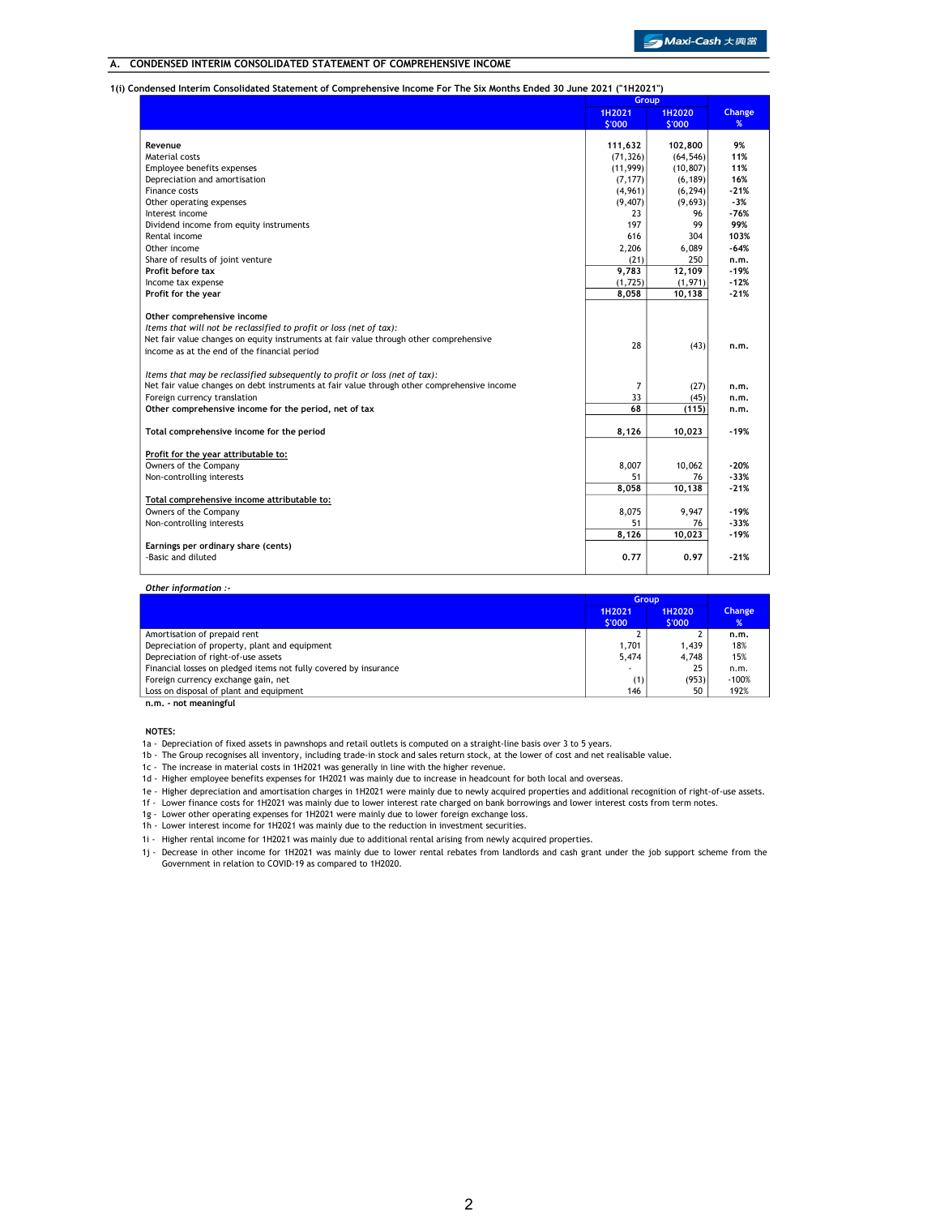### A. CONDENSED INTERIM CONSOLIDATED STATEMENT OF COMPREHENSIVE INCOME

1(i) Condensed Interim Consolidated Statement of Comprehensive Income For The Six Months Ended 30 June 2021 ("1H2021")

|                                                                                             | Group     |           |               |
|---------------------------------------------------------------------------------------------|-----------|-----------|---------------|
|                                                                                             | 1H2021    | 1H2020    | <b>Change</b> |
|                                                                                             | \$'000    | \$'000    | %             |
| Revenue                                                                                     | 111,632   | 102,800   | 9%            |
| Material costs                                                                              | (71, 326) | (64, 546) | 11%           |
| Employee benefits expenses                                                                  | (11, 999) | (10, 807) | 11%           |
| Depreciation and amortisation                                                               | (7, 177)  | (6, 189)  | 16%           |
| Finance costs                                                                               | (4,961)   | (6, 294)  | $-21%$        |
| Other operating expenses                                                                    | (9, 407)  | (9,693)   | $-3%$         |
| Interest income                                                                             | 23        | 96        | $-76%$        |
| Dividend income from equity instruments                                                     | 197       | 99        | 99%           |
| Rental income                                                                               | 616       | 304       | 103%          |
| Other income                                                                                | 2,206     | 6,089     | $-64%$        |
| Share of results of joint venture                                                           | (21)      | 250       | n.m.          |
| Profit before tax                                                                           | 9,783     | 12,109    | $-19%$        |
| Income tax expense                                                                          | (1,725)   | (1,971)   | $-12%$        |
|                                                                                             | 8,058     |           | $-21%$        |
| Profit for the year                                                                         |           | 10,138    |               |
| Other comprehensive income                                                                  |           |           |               |
| Items that will not be reclassified to profit or loss (net of tax):                         |           |           |               |
| Net fair value changes on equity instruments at fair value through other comprehensive      | 28        |           |               |
| income as at the end of the financial period                                                |           | (43)      | n.m.          |
| Items that may be reclassified subsequently to profit or loss (net of tax):                 |           |           |               |
| Net fair value changes on debt instruments at fair value through other comprehensive income | 7         | (27)      | n.m.          |
| Foreign currency translation                                                                | 33        | (45)      | n.m.          |
| Other comprehensive income for the period, net of tax                                       | 68        | (115)     | n.m.          |
|                                                                                             |           |           |               |
| Total comprehensive income for the period                                                   | 8,126     | 10,023    | $-19%$        |
| Profit for the year attributable to:                                                        |           |           |               |
| Owners of the Company                                                                       | 8.007     | 10,062    | $-20%$        |
| Non-controlling interests                                                                   | 51        | 76        | $-33%$        |
|                                                                                             | 8,058     | 10,138    | $-21%$        |
| Total comprehensive income attributable to:                                                 |           |           |               |
| Owners of the Company                                                                       | 8.075     | 9.947     | -19%          |
| Non-controlling interests                                                                   | 51        | 76        | $-33%$        |
|                                                                                             | 8,126     | 10,023    | $-19%$        |
| Earnings per ordinary share (cents)                                                         |           |           |               |
| -Basic and diluted                                                                          | 0.77      | 0.97      | $-21%$        |
|                                                                                             |           |           |               |

Other information :-

|                                                                  | <b>Group</b>     |                  |             |
|------------------------------------------------------------------|------------------|------------------|-------------|
|                                                                  | 1H2021<br>\$'000 | 1H2020<br>\$'000 | Change<br>% |
| Amortisation of prepaid rent                                     |                  |                  | n.m.        |
| Depreciation of property, plant and equipment                    | 1.701            | 1.439            | 18%         |
| Depreciation of right-of-use assets                              | 5.474            | 4.748            | 15%         |
| Financial losses on pledged items not fully covered by insurance | ۰                | 25               | n.m.        |
| Foreign currency exchange gain, net                              | (1)              | (953)            | $-100%$     |
| Loss on disposal of plant and equipment                          | 146              | 50               | 192%        |
| n.m. - not meaningful                                            |                  |                  |             |

NOTES:

1a - Depreciation of fixed assets in pawnshops and retail outlets is computed on a straight-line basis over 3 to 5 years.

1b - The Group recognises all inventory, including trade-in stock and sales return stock, at the lower of cost and net realisable value.

1c - The increase in material costs in 1H2021 was generally in line with the higher revenue.

1d - Higher employee benefits expenses for 1H2021 was mainly due to increase in headcount for both local and overseas.

1e - Higher depreciation and amortisation charges in 1H2021 were mainly due to newly acquired properties and additional recognition of right-of-use assets.

1f - Lower finance costs for 1H2021 was mainly due to lower interest rate charged on bank borrowings and lower interest costs from term notes.

1g - Lower other operating expenses for 1H2021 were mainly due to lower foreign exchange loss.

1h - Lower interest income for 1H2021 was mainly due to the reduction in investment securities.

1i - Higher rental income for 1H2021 was mainly due to additional rental arising from newly acquired properties.

1j - Decrease in other income for 1H2021 was mainly due to lower rental rebates from landlords and cash grant under the job support scheme from the Government in relation to COVID-19 as compared to 1H2020.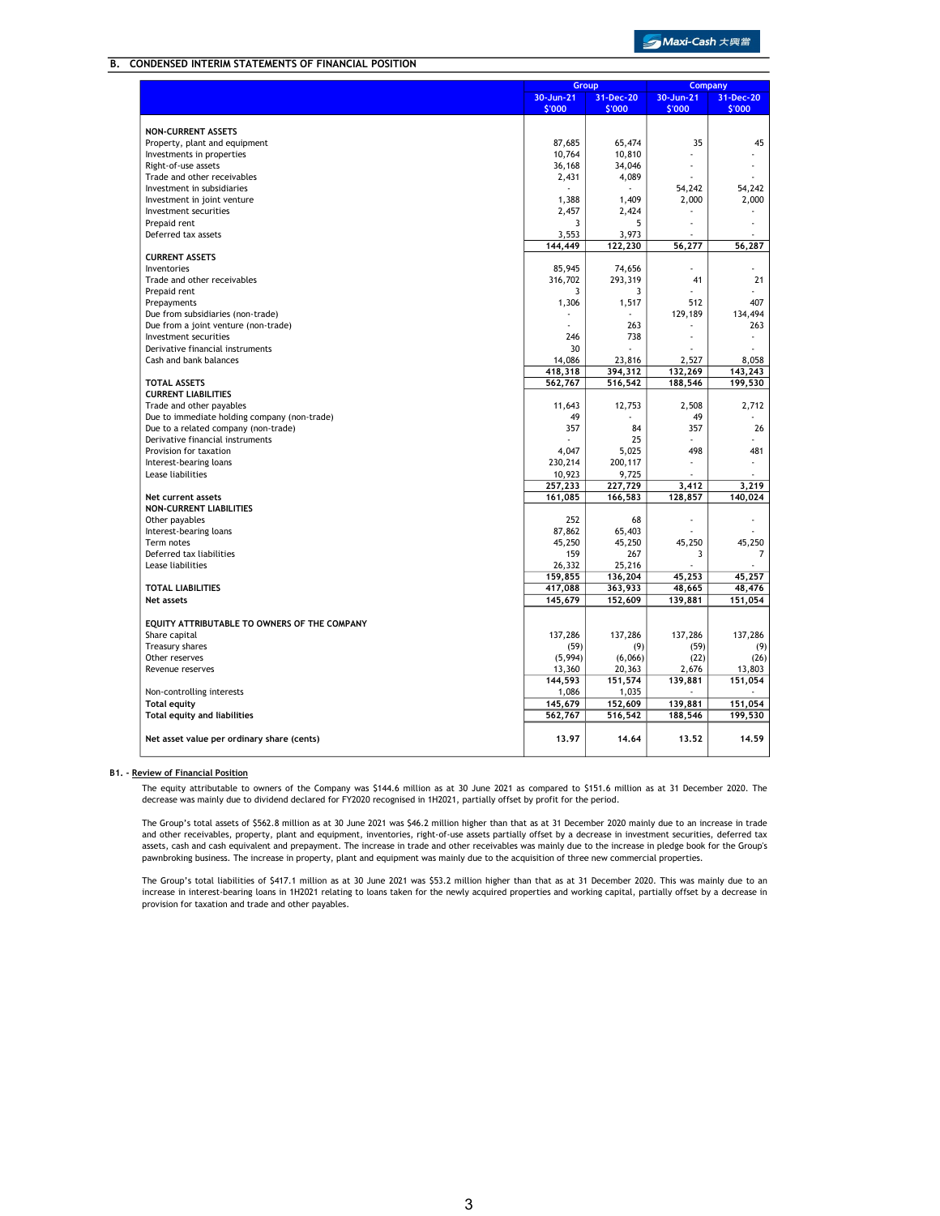### B. CONDENSED INTERIM STATEMENTS OF FINANCIAL POSITION

|                                              |           | <b>Group</b> |           | <b>Company</b> |
|----------------------------------------------|-----------|--------------|-----------|----------------|
|                                              | 30-Jun-21 | 31-Dec-20    | 30-Jun-21 | 31-Dec-20      |
|                                              | \$'000    | \$'000       | \$'000    | \$'000         |
|                                              |           |              |           |                |
| <b>NON-CURRENT ASSETS</b>                    |           |              |           |                |
| Property, plant and equipment                | 87,685    | 65,474       | 35        | 45             |
| Investments in properties                    | 10,764    | 10,810       |           |                |
| Right-of-use assets                          | 36,168    | 34,046       |           |                |
| Trade and other receivables                  | 2,431     | 4,089        |           |                |
| Investment in subsidiaries                   |           |              | 54,242    | 54,242         |
| Investment in joint venture                  | 1,388     | 1,409        | 2,000     | 2,000          |
| Investment securities                        | 2,457     | 2,424        |           |                |
| Prepaid rent                                 | 3         | 5            |           |                |
| Deferred tax assets                          | 3,553     | 3,973        |           |                |
|                                              | 144,449   | 122,230      | 56,277    | 56,287         |
| <b>CURRENT ASSETS</b>                        |           |              |           |                |
| Inventories                                  | 85,945    | 74,656       |           |                |
| Trade and other receivables                  | 316,702   | 293,319      | 41        | 21             |
| Prepaid rent                                 | 3         | 3            |           |                |
| Prepayments                                  | 1,306     | 1,517        | 512       | 407            |
| Due from subsidiaries (non-trade)            |           |              | 129,189   | 134,494        |
| Due from a joint venture (non-trade)         | ÷,        | 263          |           | 263            |
| Investment securities                        | 246       | 738          |           |                |
| Derivative financial instruments             | 30        |              |           |                |
| Cash and bank balances                       | 14,086    | 23,816       | 2,527     | 8.058          |
|                                              | 418,318   | 394,312      | 132,269   | 143,243        |
| <b>TOTAL ASSETS</b>                          | 562,767   | 516,542      | 188,546   | 199,530        |
| <b>CURRENT LIABILITIES</b>                   |           |              |           |                |
| Trade and other payables                     | 11,643    | 12,753       | 2,508     | 2,712          |
| Due to immediate holding company (non-trade) | 49        |              | 49        |                |
| Due to a related company (non-trade)         | 357       | 84           | 357       | 26             |
| Derivative financial instruments             |           | 25           |           |                |
| Provision for taxation                       | 4,047     | 5,025        | 498       | 481            |
| Interest-bearing loans                       | 230,214   | 200,117      |           |                |
| Lease liabilities                            | 10,923    | 9,725        |           |                |
|                                              | 257,233   | 227,729      | 3,412     | 3,219          |
| Net current assets                           | 161,085   | 166,583      | 128,857   | 140,024        |
| <b>NON-CURRENT LIABILITIES</b>               |           |              |           |                |
|                                              | 252       | 68           |           |                |
| Other payables                               |           |              |           |                |
| Interest-bearing loans                       | 87,862    | 65,403       |           |                |
| Term notes                                   | 45,250    | 45,250       | 45,250    | 45,250         |
| Deferred tax liabilities                     | 159       | 267          | 3         | 7              |
| Lease liabilities                            | 26,332    | 25,216       |           |                |
|                                              | 159,855   | 136,204      | 45,253    | 45,257         |
| <b>TOTAL LIABILITIES</b>                     | 417,088   | 363,933      | 48,665    | 48,476         |
| Net assets                                   | 145,679   | 152,609      | 139,881   | 151,054        |
|                                              |           |              |           |                |
| EQUITY ATTRIBUTABLE TO OWNERS OF THE COMPANY |           |              |           |                |
| Share capital                                | 137,286   | 137,286      | 137,286   | 137,286        |
| Treasury shares                              | (59)      | (9)          | (59)      | (9)            |
| Other reserves                               | (5,994)   | (6,066)      | (22)      | (26)           |
| Revenue reserves                             | 13,360    | 20,363       | 2,676     | 13,803         |
|                                              | 144,593   | 151,574      | 139,881   | 151,054        |
| Non-controlling interests                    | 1,086     | 1,035        |           |                |
| <b>Total equity</b>                          | 145,679   | 152,609      | 139,881   | 151,054        |
| <b>Total equity and liabilities</b>          | 562,767   | 516,542      | 188,546   | 199,530        |
|                                              |           |              |           |                |
| Net asset value per ordinary share (cents)   | 13.97     | 14.64        | 13.52     | 14.59          |
|                                              |           |              |           |                |

### B1. - Review of Financial Position

The equity attributable to owners of the Company was \$144.6 million as at 30 June 2021 as compared to \$151.6 million as at 31 December 2020. The<br>decrease was mainly due to dividend declared for FY2020 recognised in 1H2021,

The Group's total assets of \$562.8 million as at 30 June 2021 was \$46.2 million higher than that as at 31 December 2020 mainly due to an increase in trade and other receivables, property, plant and equipment, inventories, right-of-use assets partially offset by a decrease in investment securities, deferred tax assets, cash and cash equivalent and prepayment. The increase in trade and other receivables was mainly due to the increase in pledge book for the Group's pawnbroking business. The increase in property, plant and equipment was mainly due to the acquisition of three new commercial properties.

The Group's total liabilities of \$417.1 million as at 30 June 2021 was \$53.2 million higher than that as at 31 December 2020. This was mainly due to an<br>increase in interest-bearing loans in 1H2021 relating to loans taken f provision for taxation and trade and other payables.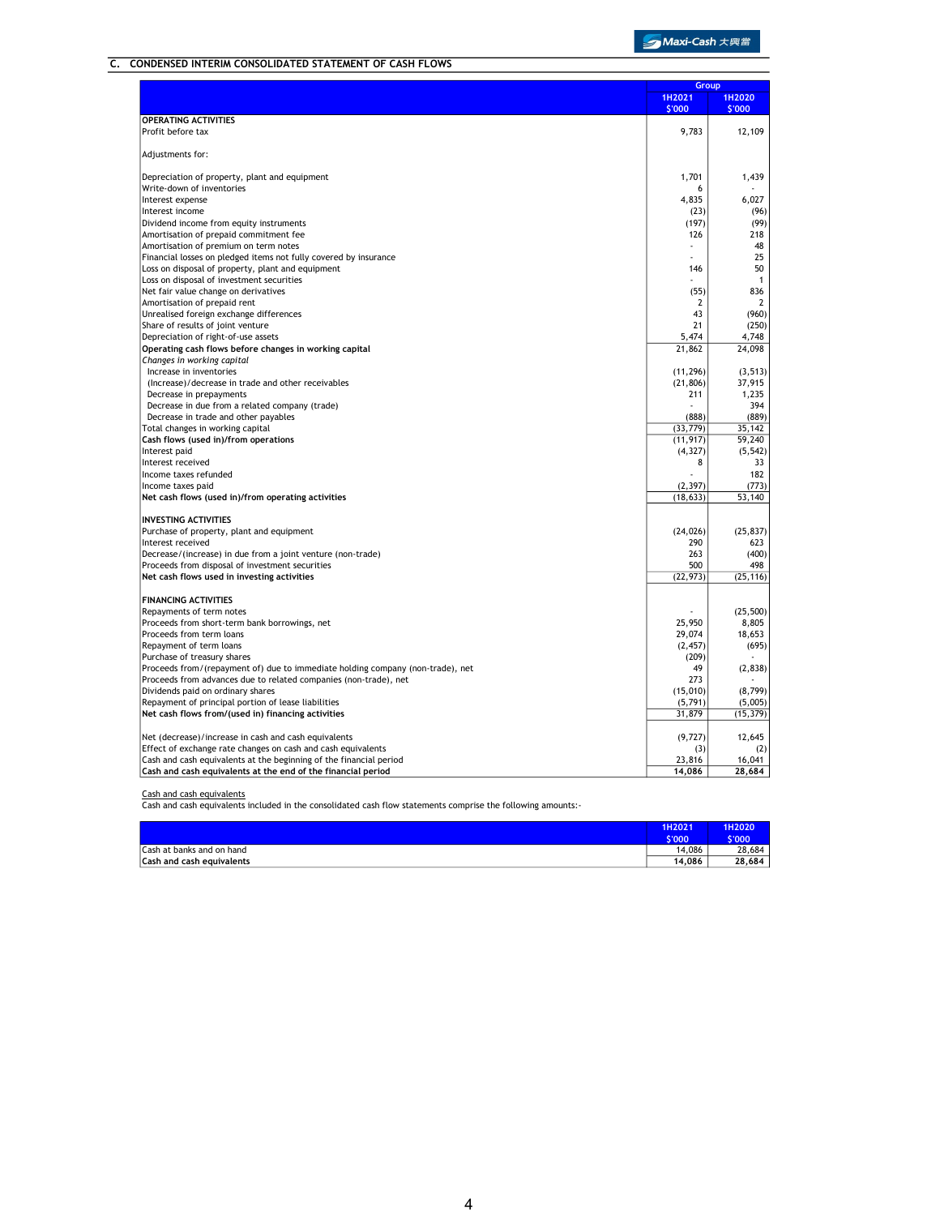# C. CONDENSED INTERIM CONSOLIDATED STATEMENT OF CASH FLOWS

|                                                                                |                  | Group                   |
|--------------------------------------------------------------------------------|------------------|-------------------------|
|                                                                                | 1H2021<br>\$'000 | <b>1H2020</b><br>\$'000 |
| <b>OPERATING ACTIVITIES</b>                                                    |                  |                         |
| Profit before tax                                                              | 9,783            | 12,109                  |
| Adjustments for:                                                               |                  |                         |
| Depreciation of property, plant and equipment                                  | 1,701            | 1,439                   |
| Write-down of inventories                                                      | 6                |                         |
| Interest expense                                                               | 4,835            | 6,027                   |
| Interest income                                                                | (23)             | (96)                    |
| Dividend income from equity instruments                                        | (197)            | (99)                    |
| Amortisation of prepaid commitment fee                                         | 126              | 218                     |
| Amortisation of premium on term notes                                          |                  | 48                      |
| Financial losses on pledged items not fully covered by insurance               |                  | 25                      |
| Loss on disposal of property, plant and equipment                              | 146              | 50                      |
| Loss on disposal of investment securities                                      |                  | $\mathbf{1}$            |
| Net fair value change on derivatives                                           | (55)             | 836                     |
| Amortisation of prepaid rent                                                   | $\overline{2}$   | $\overline{2}$          |
| Unrealised foreign exchange differences                                        | 43               | (960)                   |
| Share of results of joint venture                                              | 21               | (250)                   |
| Depreciation of right-of-use assets                                            | 5,474            | 4,748                   |
| Operating cash flows before changes in working capital                         | 21,862           | 24,098                  |
| Changes in working capital                                                     |                  |                         |
| Increase in inventories                                                        | (11, 296)        | (3, 513)                |
| (Increase)/decrease in trade and other receivables                             | (21, 806)        | 37,915                  |
| Decrease in prepayments                                                        | 211              | 1,235                   |
| Decrease in due from a related company (trade)                                 |                  | 394                     |
| Decrease in trade and other payables                                           | (888)            | (889)                   |
| Total changes in working capital                                               | (33, 779)        | 35,142                  |
| Cash flows (used in)/from operations                                           | (11, 917)        | 59,240                  |
| Interest paid                                                                  | (4, 327)         | (5, 542)                |
| Interest received                                                              | 8                | 33                      |
| Income taxes refunded                                                          |                  | 182                     |
| Income taxes paid                                                              | (2, 397)         | (773)                   |
| Net cash flows (used in)/from operating activities                             | (18, 633)        | 53,140                  |
| <b>INVESTING ACTIVITIES</b>                                                    |                  |                         |
| Purchase of property, plant and equipment                                      | (24, 026)        | (25, 837)               |
| Interest received                                                              | 290              | 623                     |
| Decrease/(increase) in due from a joint venture (non-trade)                    | 263              | (400)                   |
| Proceeds from disposal of investment securities                                | 500              | 498                     |
| Net cash flows used in investing activities                                    | (22, 973)        | (25, 116)               |
| <b>FINANCING ACTIVITIES</b>                                                    |                  |                         |
| Repayments of term notes                                                       |                  | (25, 500)               |
| Proceeds from short-term bank borrowings, net                                  | 25,950           | 8,805                   |
| Proceeds from term loans                                                       | 29,074           | 18,653                  |
| Repayment of term loans                                                        | (2, 457)         | (695)                   |
| Purchase of treasury shares                                                    | (209)            |                         |
| Proceeds from/(repayment of) due to immediate holding company (non-trade), net | 49               | (2, 838)                |
| Proceeds from advances due to related companies (non-trade), net               | 273              |                         |
| Dividends paid on ordinary shares                                              | (15,010)         | (8, 799)                |
| Repayment of principal portion of lease liabilities                            | (5, 791)         | (5,005)                 |
| Net cash flows from/(used in) financing activities                             | 31,879           | (15, 379)               |
| Net (decrease)/increase in cash and cash equivalents                           | (9, 727)         | 12,645                  |
| Effect of exchange rate changes on cash and cash equivalents                   | (3)              | (2)                     |
| Cash and cash equivalents at the beginning of the financial period             | 23.816           | 16,041                  |
| Cash and cash equivalents at the end of the financial period                   | 14.086           | 28,684                  |

Cash and cash equivalents Cash and cash equivalents included in the consolidated cash flow statements comprise the following amounts:-

|                                  | 1H2021<br>\$'000 | 1H2020<br>S'000 |
|----------------------------------|------------------|-----------------|
| Cash at banks and on hand        | 14,086           | 28.684          |
| <b>Cash and cash equivalents</b> | 14.086           | 28.684          |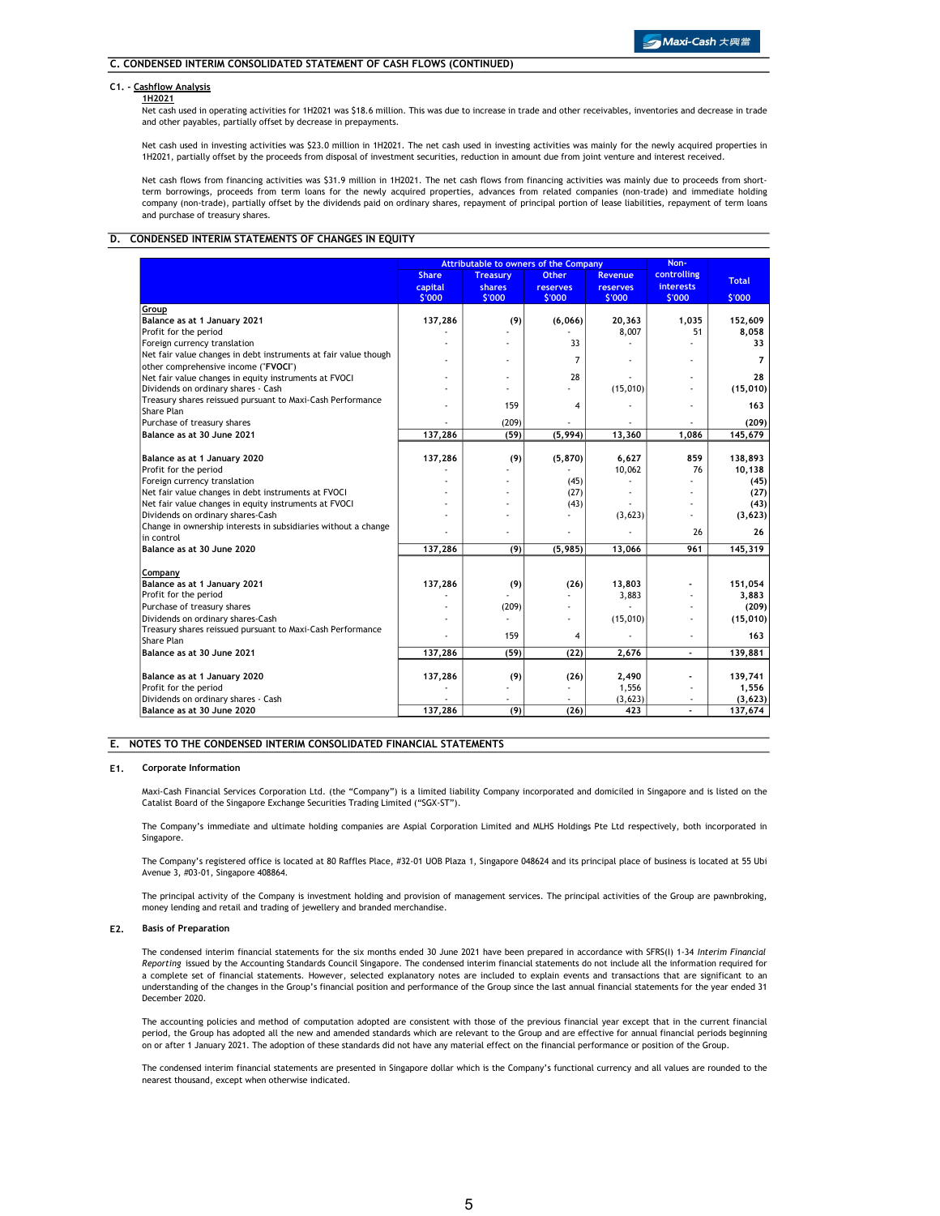### C1. - Cashflow Analysis

#### 1H2021

Net cash used in operating activities for 1H2021 was \$18.6 million. This was due to increase in trade and other receivables, inventories and decrease in trade and other payables, partially offset by decrease in prepayments.

Net cash used in investing activities was \$23.0 million in 1H2021. The net cash used in investing activities was mainly for the newly acquired properties in 1H2021, partially offset by the proceeds from disposal of investment securities, reduction in amount due from joint venture and interest received.

Net cash flows from financing activities was \$31.9 million in 1H2021. The net cash flows from financing activities was mainly due to proceeds from shortterm borrowings, proceeds from term loans for the newly acquired properties, advances from related companies (non-trade) and immediate holding company (non-trade), partially offset by the dividends paid on ordinary shares, repayment of principal portion of lease liabilities, repayment of term loans and purchase of treasury shares.

### D. CONDENSED INTERIM STATEMENTS OF CHANGES IN EQUITY

|                                                                 |                                   |                                            | <b>Attributable to owners of the Company</b> |                                             | Non-                                      |                        |
|-----------------------------------------------------------------|-----------------------------------|--------------------------------------------|----------------------------------------------|---------------------------------------------|-------------------------------------------|------------------------|
|                                                                 | <b>Share</b><br>capital<br>\$'000 | <b>Treasury</b><br><b>shares</b><br>\$'000 | <b>Other</b><br><b>reserves</b><br>\$'000    | <b>Revenue</b><br><b>reserves</b><br>\$'000 | controlling<br><b>interests</b><br>\$'000 | <b>Total</b><br>\$'000 |
| Group                                                           |                                   |                                            |                                              |                                             |                                           |                        |
| Balance as at 1 January 2021                                    | 137,286                           | (9)                                        | (6,066)                                      | 20,363                                      | 1.035                                     | 152,609                |
| Profit for the period                                           |                                   |                                            |                                              | 8,007                                       | 51                                        | 8,058                  |
| Foreign currency translation                                    |                                   |                                            | 33                                           |                                             |                                           | 33                     |
| Net fair value changes in debt instruments at fair value though |                                   |                                            |                                              |                                             |                                           |                        |
| other comprehensive income ("FVOCI")                            |                                   |                                            | 7                                            |                                             | ٠                                         | 7                      |
| Net fair value changes in equity instruments at FVOCI           |                                   |                                            | 28                                           |                                             |                                           | 28                     |
| Dividends on ordinary shares - Cash                             |                                   |                                            |                                              | (15,010)                                    |                                           | (15,010)               |
| Treasury shares reissued pursuant to Maxi-Cash Performance      |                                   | 159                                        | 4                                            |                                             | ÷                                         | 163                    |
| Share Plan                                                      |                                   |                                            |                                              |                                             |                                           |                        |
| Purchase of treasury shares                                     |                                   | (209)                                      |                                              |                                             |                                           | (209)                  |
| Balance as at 30 June 2021                                      | 137,286                           | (59)                                       | (5, 994)                                     | 13,360                                      | 1,086                                     | 145,679                |
|                                                                 |                                   |                                            |                                              |                                             |                                           |                        |
| Balance as at 1 January 2020                                    | 137,286                           | (9)                                        | (5, 870)                                     | 6,627                                       | 859                                       | 138,893                |
| Profit for the period                                           |                                   |                                            |                                              | 10,062                                      | 76                                        | 10,138                 |
| Foreign currency translation                                    |                                   |                                            | (45)                                         |                                             |                                           | (45)                   |
| Net fair value changes in debt instruments at FVOCI             |                                   |                                            | (27)                                         |                                             |                                           | (27)                   |
| Net fair value changes in equity instruments at FVOCI           |                                   |                                            | (43)                                         |                                             |                                           | (43)                   |
| Dividends on ordinary shares-Cash                               |                                   |                                            |                                              | (3,623)                                     |                                           | (3,623)                |
| Change in ownership interests in subsidiaries without a change  |                                   |                                            |                                              |                                             | 26                                        | 26                     |
| in control                                                      |                                   |                                            |                                              |                                             |                                           |                        |
| Balance as at 30 June 2020                                      | 137,286                           | (9)                                        | (5, 985)                                     | 13,066                                      | 961                                       | 145,319                |
|                                                                 |                                   |                                            |                                              |                                             |                                           |                        |
| Company                                                         |                                   |                                            |                                              |                                             |                                           |                        |
| Balance as at 1 January 2021                                    | 137,286                           | (9)                                        | (26)                                         | 13,803                                      |                                           | 151,054                |
| Profit for the period                                           |                                   |                                            |                                              | 3,883                                       |                                           | 3,883                  |
| Purchase of treasury shares                                     |                                   | (209)                                      |                                              |                                             |                                           | (209)                  |
| Dividends on ordinary shares-Cash                               |                                   |                                            |                                              | (15,010)                                    |                                           | (15,010)               |
| Treasury shares reissued pursuant to Maxi-Cash Performance      |                                   | 159                                        | 4                                            |                                             |                                           | 163                    |
| Share Plan                                                      |                                   |                                            |                                              |                                             |                                           |                        |
| Balance as at 30 June 2021                                      | 137,286                           | (59)                                       | (22)                                         | 2,676                                       |                                           | 139,881                |
|                                                                 |                                   | (9)                                        | (26)                                         | 2,490                                       |                                           | 139,741                |
| Balance as at 1 January 2020<br>Profit for the period           | 137,286                           |                                            |                                              | 1,556                                       | ٠                                         | 1,556                  |
| Dividends on ordinary shares - Cash                             |                                   |                                            |                                              | (3,623)                                     |                                           | (3,623)                |
| Balance as at 30 June 2020                                      | 137,286                           | (9)                                        | (26)                                         | 423                                         |                                           | 137,674                |
|                                                                 |                                   |                                            |                                              |                                             |                                           |                        |

### E. NOTES TO THE CONDENSED INTERIM CONSOLIDATED FINANCIAL STATEMENTS

#### E1. Corporate Information

Maxi-Cash Financial Services Corporation Ltd. (the "Company") is a limited liability Company incorporated and domiciled in Singapore and is listed on the Catalist Board of the Singapore Exchange Securities Trading Limited ("SGX-ST").

The Company's immediate and ultimate holding companies are Aspial Corporation Limited and MLHS Holdings Pte Ltd respectively, both incorporated in Singapore.

The Company's registered office is located at 80 Raffles Place, #32-01 UOB Plaza 1, Singapore 048624 and its principal place of business is located at 55 Ubi Avenue 3, #03-01, Singapore 408864.

The principal activity of the Company is investment holding and provision of management services. The principal activities of the Group are pawnbroking, money lending and retail and trading of jewellery and branded merchandise.

### E2. Basis of Preparation

The condensed interim financial statements for the six months ended 30 June 2021 have been prepared in accordance with SFRS(I) 1-34 Interim Financial Reporting issued by the Accounting Standards Council Singapore. The condensed interim financial statements do not include all the information required for a complete set of financial statements. However, selected explanatory notes are included to explain events and transactions that are significant to an understanding of the changes in the Group's financial position and performance of the Group since the last annual financial statements for the year ended 31 December 2020.

The accounting policies and method of computation adopted are consistent with those of the previous financial year except that in the current financial period, the Group has adopted all the new and amended standards which are relevant to the Group and are effective for annual financial periods beginning on or after 1 January 2021. The adoption of these standards did not have any material effect on the financial performance or position of the Group.

The condensed interim financial statements are presented in Singapore dollar which is the Company's functional currency and all values are rounded to the nearest thousand, except when otherwise indicated.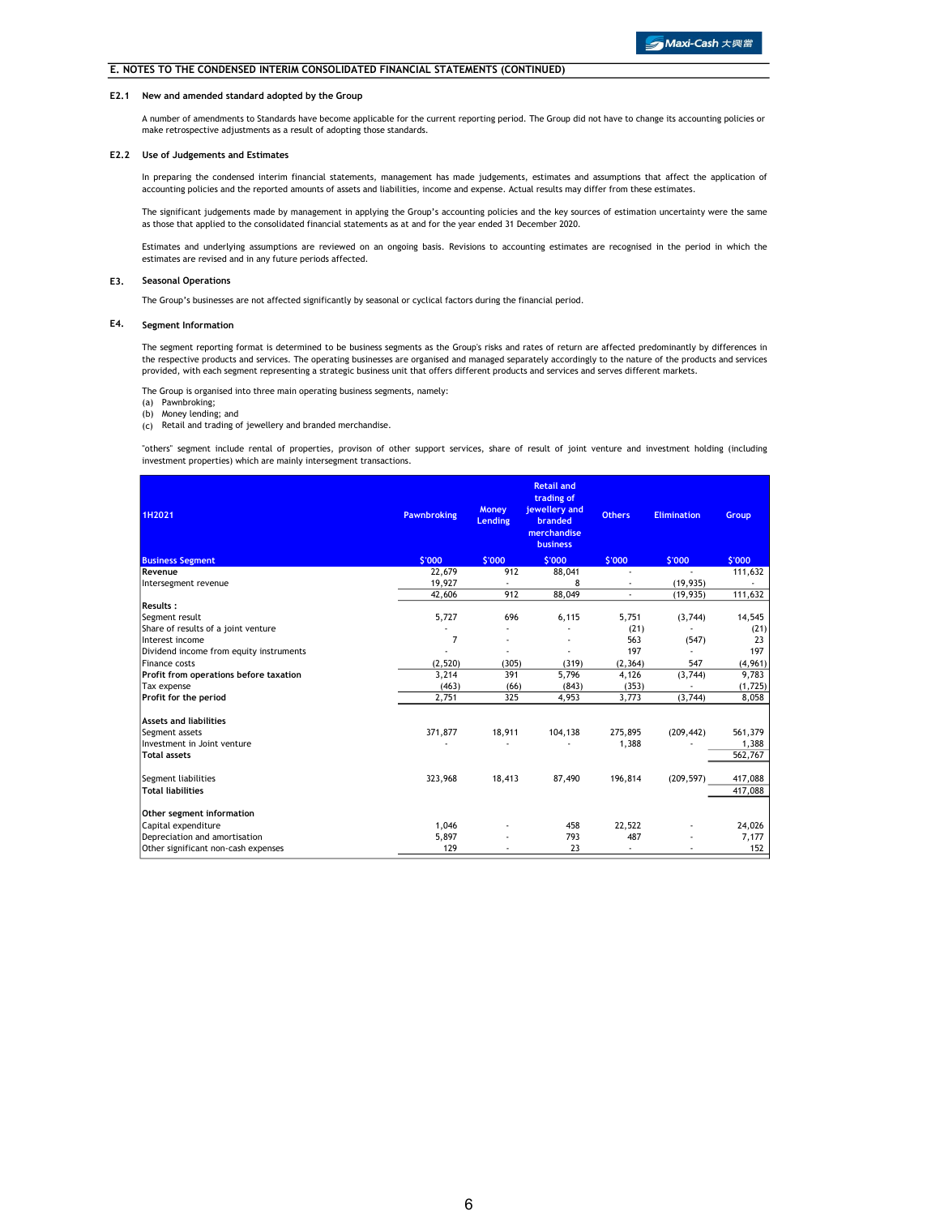#### E2.1 New and amended standard adopted by the Group

A number of amendments to Standards have become applicable for the current reporting period. The Group did not have to change its accounting policies or make retrospective adjustments as a result of adopting those standards.

#### E2.2 Use of Judgements and Estimates

In preparing the condensed interim financial statements, management has made judgements, estimates and assumptions that affect the application of accounting policies and the reported amounts of assets and liabilities, income and expense. Actual results may differ from these estimates.

The significant judgements made by management in applying the Group's accounting policies and the key sources of estimation uncertainty were the same<br>as those that applied to the consolidated financial statements as at and

Estimates and underlying assumptions are reviewed on an ongoing basis. Revisions to accounting estimates are recognised in the period in which the estimates are revised and in any future periods affected.

#### E3. Seasonal Operations

The Group's businesses are not affected significantly by seasonal or cyclical factors during the financial period.

### E4. Segment Information

The segment reporting format is determined to be business segments as the Group's risks and rates of return are affected predominantly by differences in the respective products and services. The operating businesses are organised and managed separately accordingly to the nature of the products and services provided, with each segment representing a strategic business unit that offers different products and services and serves different markets.

The Group is organised into three main operating business segments, namely: (a) Pawnbroking;

- 
- (b) Money lending; and
- (c) Retail and trading of jewellery and branded merchandise.

"others" segment include rental of properties, provison of other support services, share of result of joint venture and investment holding (including investment properties) which are mainly intersegment transactions.

| 1H2021                                  | <b>Pawnbroking</b> | <b>Money</b><br><b>Lending</b> | <b>Retail and</b><br>trading of<br>jewellery and<br>branded<br>merchandise<br><b>business</b> | <b>Others</b> | <b>Elimination</b> | Group    |
|-----------------------------------------|--------------------|--------------------------------|-----------------------------------------------------------------------------------------------|---------------|--------------------|----------|
| <b>Business Segment</b>                 | \$'000             | \$'000                         | \$'000                                                                                        | \$'000        | \$'000             | \$'000   |
| Revenue                                 | 22,679             | 912                            | 88,041                                                                                        | ٠             |                    | 111,632  |
| Intersegment revenue                    | 19,927             |                                | 8                                                                                             |               | (19, 935)          |          |
|                                         | 42,606             | 912                            | 88,049                                                                                        | ÷.            | (19, 935)          | 111,632  |
| <b>Results:</b>                         |                    |                                |                                                                                               |               |                    |          |
| Segment result                          | 5,727              | 696                            | 6,115                                                                                         | 5,751         | (3,744)            | 14,545   |
| Share of results of a joint venture     |                    |                                |                                                                                               | (21)          |                    | (21)     |
| Interest income                         | 7                  |                                |                                                                                               | 563           | (547)              | 23       |
| Dividend income from equity instruments |                    |                                |                                                                                               | 197           |                    | 197      |
| Finance costs                           | (2,520)            | (305)                          | (319)                                                                                         | (2, 364)      | 547                | (4,961)  |
| Profit from operations before taxation  | 3,214              | 391                            | 5,796                                                                                         | 4,126         | (3,744)            | 9,783    |
| Tax expense                             | (463)              | (66)                           | (843)                                                                                         | (353)         |                    | (1, 725) |
| Profit for the period                   | 2,751              | 325                            | 4,953                                                                                         | 3,773         | (3,744)            | 8,058    |
| <b>Assets and liabilities</b>           |                    |                                |                                                                                               |               |                    |          |
| Segment assets                          | 371,877            | 18,911                         | 104,138                                                                                       | 275,895       | (209, 442)         | 561,379  |
| Investment in Joint venture             |                    |                                |                                                                                               | 1,388         |                    | 1,388    |
| <b>Total assets</b>                     |                    |                                |                                                                                               |               |                    | 562,767  |
| Segment liabilities                     | 323,968            | 18,413                         | 87,490                                                                                        | 196,814       | (209, 597)         | 417,088  |
| <b>Total liabilities</b>                |                    |                                |                                                                                               |               |                    | 417,088  |
| Other segment information               |                    |                                |                                                                                               |               |                    |          |
| Capital expenditure                     | 1,046              |                                | 458                                                                                           | 22,522        |                    | 24,026   |
| Depreciation and amortisation           | 5,897              |                                | 793                                                                                           | 487           |                    | 7,177    |
| Other significant non-cash expenses     | 129                |                                | 23                                                                                            |               |                    | 152      |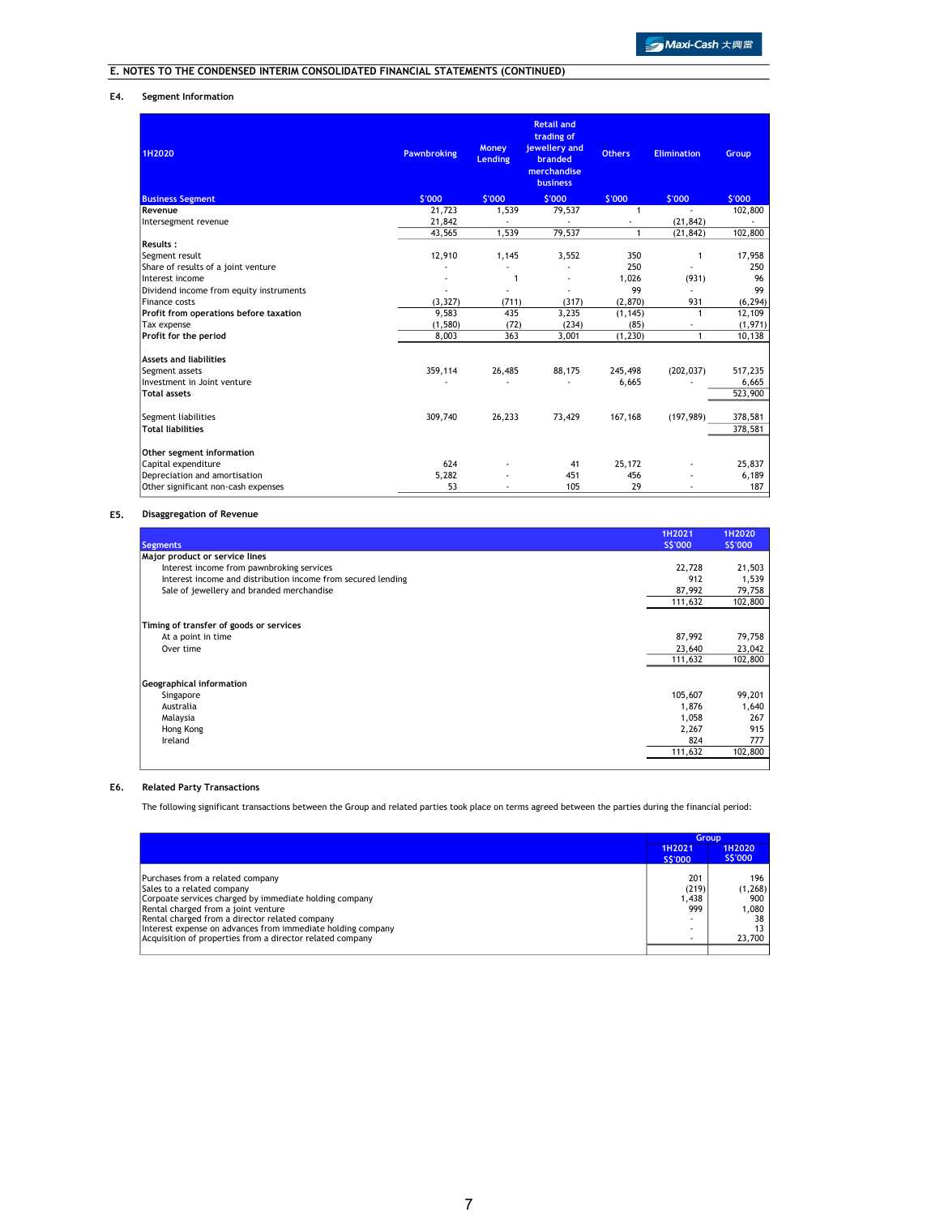### E4. Segment Information

| 1H2020                                  | <b>Pawnbroking</b> | <b>Money</b><br><b>Lending</b> | <b>Retail and</b><br>trading of<br>jewellery and<br>branded<br>merchandise<br><b>business</b> | <b>Others</b> | <b>Elimination</b> | Group    |
|-----------------------------------------|--------------------|--------------------------------|-----------------------------------------------------------------------------------------------|---------------|--------------------|----------|
| <b>Business Segment</b>                 | \$'000             | \$'000                         | \$'000                                                                                        | \$'000        | \$'000             | \$'000   |
| Revenue                                 | 21,723             | 1,539                          | 79,537                                                                                        | 1             | $\blacksquare$     | 102,800  |
| Intersegment revenue                    | 21,842             |                                |                                                                                               |               | (21, 842)          |          |
|                                         | 43,565             | 1,539                          | 79,537                                                                                        | 1             | (21, 842)          | 102,800  |
| Results:                                |                    |                                |                                                                                               |               |                    |          |
| Segment result                          | 12,910             | 1,145                          | 3,552                                                                                         | 350           | $\mathbf{1}$       | 17,958   |
| Share of results of a joint venture     |                    |                                |                                                                                               | 250           |                    | 250      |
| Interest income                         | ÷,                 | 1                              |                                                                                               | 1,026         | (931)              | 96       |
| Dividend income from equity instruments | ٠                  |                                | ÷,                                                                                            | 99            |                    | 99       |
| Finance costs                           | (3, 327)           | (711)                          | (317)                                                                                         | (2,870)       | 931                | (6, 294) |
| Profit from operations before taxation  | 9,583              | 435                            | 3,235                                                                                         | (1, 145)      | $\mathbf{1}$       | 12,109   |
| Tax expense                             | (1,580)            | (72)                           | (234)                                                                                         | (85)          |                    | (1, 971) |
| Profit for the period                   | 8,003              | 363                            | 3,001                                                                                         | (1, 230)      | $\mathbf{1}$       | 10,138   |
| <b>Assets and liabilities</b>           |                    |                                |                                                                                               |               |                    |          |
| Segment assets                          | 359,114            | 26,485                         | 88,175                                                                                        | 245,498       | (202, 037)         | 517,235  |
| Investment in Joint venture             |                    |                                |                                                                                               | 6,665         |                    | 6,665    |
| <b>Total assets</b>                     |                    |                                |                                                                                               |               |                    | 523,900  |
| Segment liabilities                     | 309,740            | 26,233                         | 73,429                                                                                        | 167,168       | (197, 989)         | 378,581  |
| <b>Total liabilities</b>                |                    |                                |                                                                                               |               |                    | 378,581  |
| Other segment information               |                    |                                |                                                                                               |               |                    |          |
| Capital expenditure                     | 624                |                                | 41                                                                                            | 25,172        |                    | 25,837   |
| Depreciation and amortisation           | 5,282              |                                | 451                                                                                           | 456           |                    | 6,189    |
| Other significant non-cash expenses     | 53                 |                                | 105                                                                                           | 29            |                    | 187      |

### E5. Disaggregation of Revenue

| <b>Segments</b>                                              | 1H2021<br>S\$'000 | 1H2020<br>S\$'000 |
|--------------------------------------------------------------|-------------------|-------------------|
| Major product or service lines                               |                   |                   |
| Interest income from pawnbroking services                    | 22,728            | 21,503            |
| Interest income and distribution income from secured lending | 912               | 1,539             |
| Sale of jewellery and branded merchandise                    | 87,992            | 79,758            |
|                                                              | 111,632           | 102,800           |
| Timing of transfer of goods or services                      |                   |                   |
| At a point in time                                           | 87,992            | 79,758            |
| Over time                                                    | 23,640            | 23,042            |
|                                                              | 111,632           | 102,800           |
| Geographical information                                     |                   |                   |
| Singapore                                                    | 105,607           | 99,201            |
| Australia                                                    | 1,876             | 1,640             |
| Malaysia                                                     | 1,058             | 267               |
| Hong Kong                                                    | 2,267             | 915               |
| Ireland                                                      | 824               | 777               |
|                                                              | 111,632           | 102,800           |

### E6. Related Party Transactions

The following significant transactions between the Group and related parties took place on terms agreed between the parties during the financial period:

|                                                             | Group   |                   |
|-------------------------------------------------------------|---------|-------------------|
|                                                             | 1H2021  | 1H2020<br>S\$'000 |
|                                                             | S\$'000 |                   |
| Purchases from a related company                            | 201     | 196               |
| Sales to a related company                                  | (219)   | (1,268)           |
| Corpoate services charged by immediate holding company      | .438    | 900               |
| Rental charged from a joint venture                         | 999     | 1.080             |
| Rental charged from a director related company              |         | 38                |
| Interest expense on advances from immediate holding company | -       |                   |
| Acquisition of properties from a director related company   |         | 23,700            |
|                                                             |         |                   |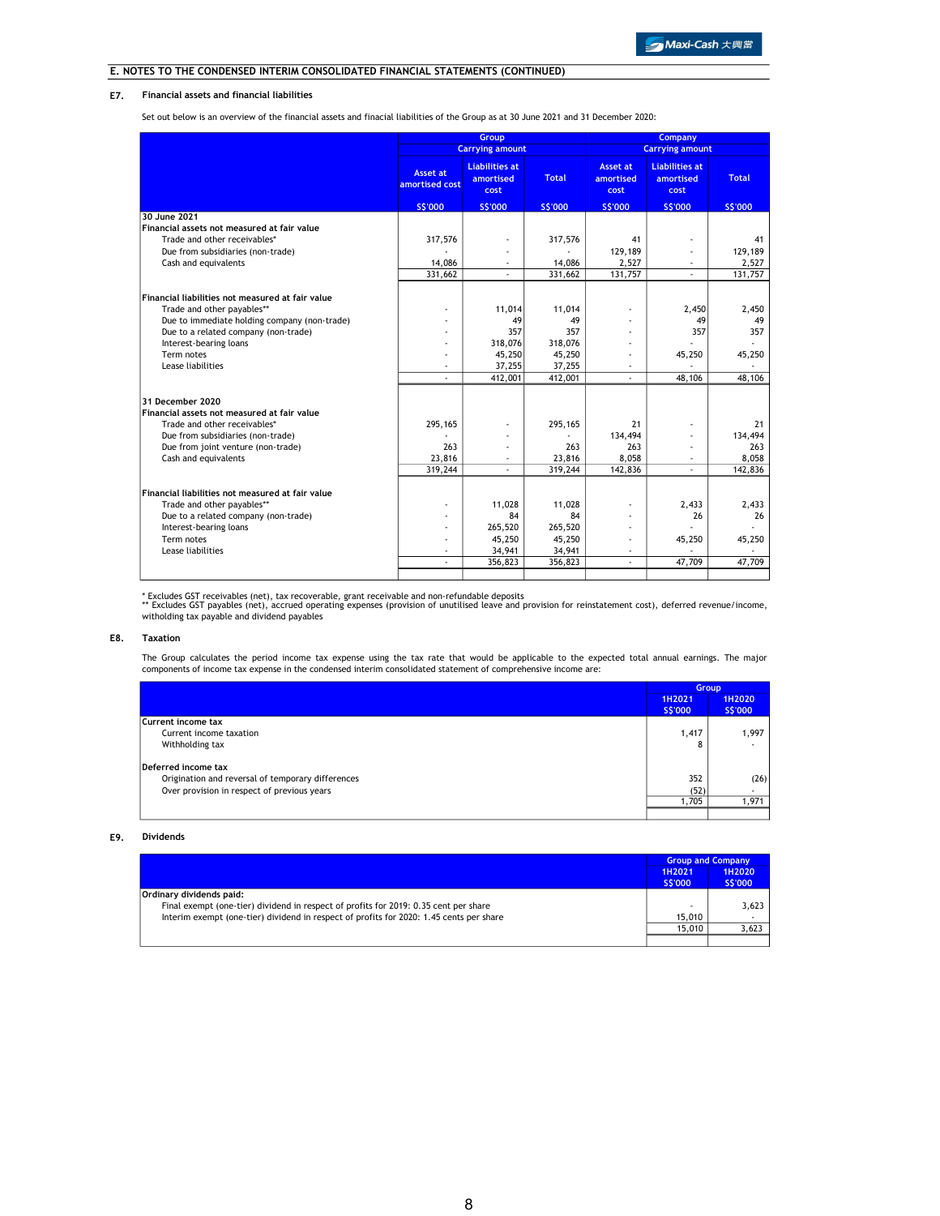### E7. Financial assets and financial liabilities

Set out below is an overview of the financial assets and finacial liabilities of the Group as at 30 June 2021 and 31 December 2020:

|                                                  | Group                                                |                                            |                   |                                      | <b>Company</b>                             |               |
|--------------------------------------------------|------------------------------------------------------|--------------------------------------------|-------------------|--------------------------------------|--------------------------------------------|---------------|
|                                                  |                                                      | <b>Carrying amount</b>                     |                   |                                      | <b>Carrying amount</b>                     |               |
|                                                  | <b>Asset at</b><br>amortised cost                    | <b>Liabilities at</b><br>amortised<br>cost | <b>Total</b>      | <b>Asset at</b><br>amortised<br>cost | <b>Liabilities at</b><br>amortised<br>cost | <b>Total</b>  |
|                                                  | <b>SS'000</b>                                        | S\$'000                                    | S\$'000           | S\$'000                              | S\$'000                                    | <b>SS'000</b> |
| 30 June 2021                                     |                                                      |                                            |                   |                                      |                                            |               |
| Financial assets not measured at fair value      |                                                      |                                            |                   |                                      |                                            |               |
| Trade and other receivables*                     | 317,576                                              |                                            | 317,576           | 41                                   |                                            | 41            |
| Due from subsidiaries (non-trade)                |                                                      |                                            |                   | 129,189                              |                                            | 129,189       |
| Cash and equivalents                             | 14,086                                               |                                            | 14,086            | 2,527                                |                                            | 2,527         |
|                                                  | 331,662                                              | $\overline{\phantom{a}}$                   | 331,662           | 131,757                              |                                            | 131,757       |
|                                                  |                                                      |                                            |                   |                                      |                                            |               |
| Financial liabilities not measured at fair value |                                                      |                                            |                   |                                      |                                            |               |
| Trade and other payables**                       |                                                      | 11,014                                     | 11,014            |                                      | 2,450                                      | 2,450         |
| Due to immediate holding company (non-trade)     |                                                      | 49                                         | 49                |                                      | 49                                         | 49            |
| Due to a related company (non-trade)             |                                                      | 357                                        | 357               |                                      | 357                                        | 357           |
| Interest-bearing loans                           |                                                      | 318,076                                    | 318,076           |                                      |                                            |               |
| Term notes                                       |                                                      | 45,250                                     | 45,250            |                                      | 45,250                                     | 45,250        |
| Lease liabilities                                |                                                      | 37,255                                     | 37,255            |                                      |                                            |               |
|                                                  |                                                      | 412,001                                    | 412,001           |                                      | 48,106                                     | 48,106        |
|                                                  |                                                      |                                            |                   |                                      |                                            |               |
| 31 December 2020                                 |                                                      |                                            |                   |                                      |                                            |               |
| Financial assets not measured at fair value      |                                                      |                                            |                   |                                      |                                            |               |
| Trade and other receivables*                     | 295,165                                              |                                            | 295,165           | 21                                   |                                            | 21            |
| Due from subsidiaries (non-trade)                |                                                      |                                            |                   | 134,494                              |                                            | 134,494       |
| Due from joint venture (non-trade)               | 263                                                  |                                            | 263               | 263                                  |                                            | 263           |
| Cash and equivalents                             | 23,816                                               | $\sim$                                     | 23,816            | 8,058                                | $\overline{\phantom{a}}$                   | 8,058         |
|                                                  | 319,244                                              | $\sim$                                     | 319,244           | 142,836                              |                                            | 142,836       |
|                                                  |                                                      |                                            |                   |                                      |                                            |               |
| Financial liabilities not measured at fair value |                                                      |                                            |                   |                                      |                                            |               |
| Trade and other payables**                       |                                                      | 11,028<br>84                               | 11,028<br>84      |                                      | 2.433<br>26                                | 2,433<br>26   |
| Due to a related company (non-trade)             |                                                      |                                            |                   |                                      |                                            |               |
| Interest-bearing loans<br>Term notes             | $\overline{\phantom{a}}$<br>$\overline{\phantom{a}}$ | 265,520<br>45,250                          | 265,520<br>45,250 |                                      | 45,250                                     | 45,250        |
| Lease liabilities                                |                                                      | 34,941                                     |                   |                                      |                                            |               |
|                                                  | $\overline{\phantom{a}}$                             | 356,823                                    | 34,941<br>356,823 | ÷                                    | 47,709                                     | 47,709        |
|                                                  |                                                      |                                            |                   |                                      |                                            |               |
|                                                  |                                                      |                                            |                   |                                      |                                            |               |

\* Excludes GST receivables (net), tax recoverable, grant receivable and non-refundable deposits<br>\*\* Excludes GST payables (net), accrued operating expenses (provision of unutilised leave and provision for reinstatement cost witholding tax payable and dividend payables

### E8. Taxation

The Group calculates the period income tax expense using the tax rate that would be applicable to the expected total annual earnings. The major<br>components of income tax expense in the condensed interim consolidated stateme

|                                                   |                   | Group             |
|---------------------------------------------------|-------------------|-------------------|
|                                                   | 1H2021<br>S\$'000 | 1H2020<br>S\$'000 |
| Current income tax                                |                   |                   |
| Current income taxation                           | 1,417             | 1.997             |
| Withholding tax                                   | 8                 |                   |
| Deferred income tax                               |                   |                   |
| Origination and reversal of temporary differences | 352               | (26)              |
| Over provision in respect of previous years       | (52)              |                   |
|                                                   | 1,705             | 1,971             |
|                                                   |                   |                   |

### E9. Dividends

|                                                                                         | <b>Group and Company</b> |                   |
|-----------------------------------------------------------------------------------------|--------------------------|-------------------|
|                                                                                         | 1H2021<br>S\$'000        | 1H2020<br>S\$'000 |
| Ordinary dividends paid:                                                                |                          |                   |
| Final exempt (one-tier) dividend in respect of profits for 2019: 0.35 cent per share    |                          | 3.623             |
| Interim exempt (one-tier) dividend in respect of profits for 2020: 1.45 cents per share | 15.010                   |                   |
|                                                                                         | 15,010                   | 3.623             |
|                                                                                         |                          |                   |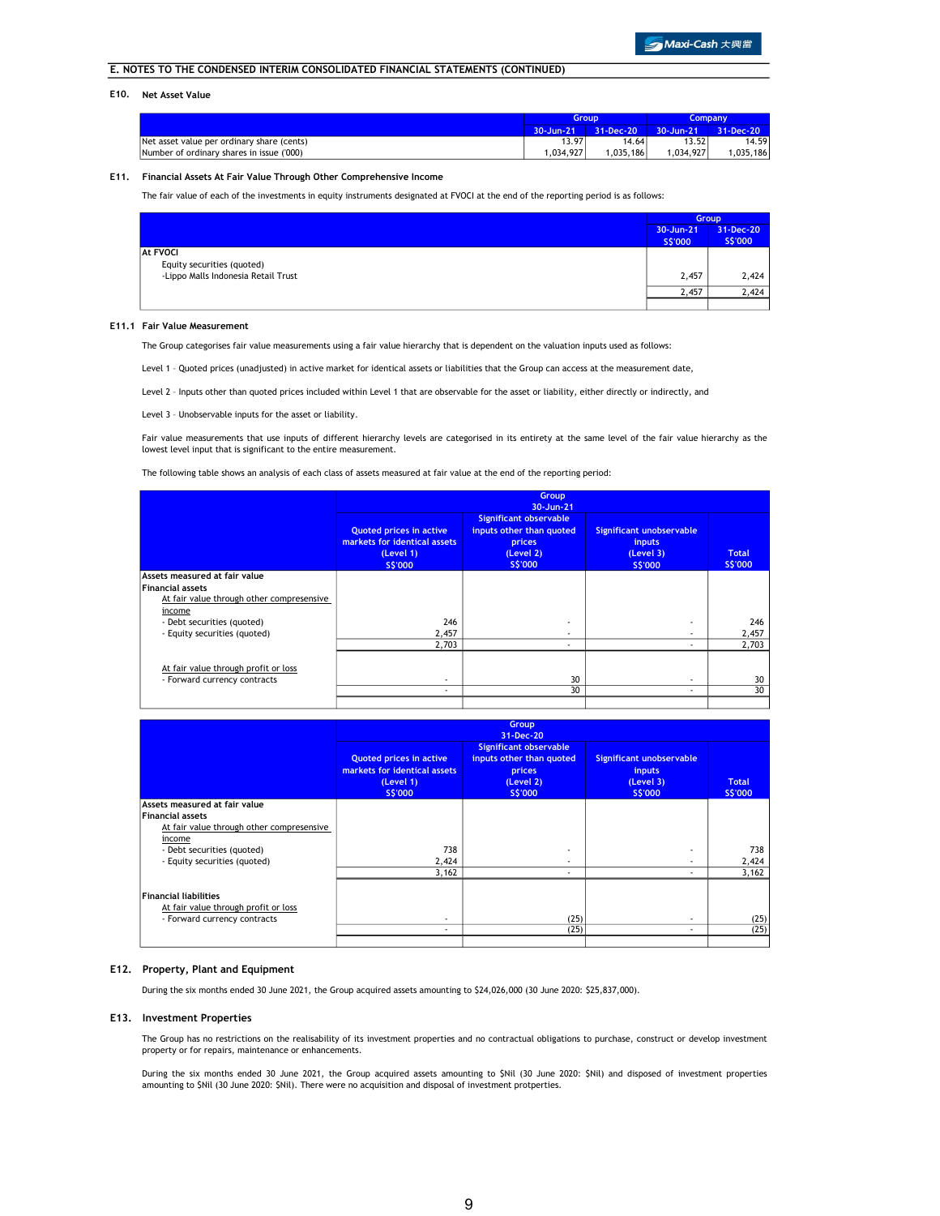### E10. Net Asset Value

|                                            | <b>Group</b> |           | <b>Company</b> |           |
|--------------------------------------------|--------------|-----------|----------------|-----------|
|                                            | 30-Jun-21    | 31-Dec-20 | $30 - Jun-21$  | 31-Dec-20 |
| Net asset value per ordinary share (cents) | 13.97        | 14.64     | 13.52          | 14.59     |
| Number of ordinary shares in issue ('000)  | .034.927     | 1.035.186 | .034.927       | .035.186  |

### E11. Financial Assets At Fair Value Through Other Comprehensive Income

The fair value of each of the investments in equity instruments designated at FVOCI at the end of the reporting period is as follows:

|                                     |                      | <b>Group</b>         |  |
|-------------------------------------|----------------------|----------------------|--|
|                                     | 30-Jun-21<br>S\$'000 | 31-Dec-20<br>S\$'000 |  |
| <b>At FVOCI</b>                     |                      |                      |  |
| Equity securities (quoted)          |                      |                      |  |
| -Lippo Malls Indonesia Retail Trust | 2,457                | 2,424                |  |
|                                     | 2,457                | 2.424                |  |
|                                     |                      |                      |  |

### E11.1 Fair Value Measurement

The Group categorises fair value measurements using a fair value hierarchy that is dependent on the valuation inputs used as follows:

Level 1 – Quoted prices (unadjusted) in active market for identical assets or liabilities that the Group can access at the measurement date,

Level 2 – Inputs other than quoted prices included within Level 1 that are observable for the asset or liability, either directly or indirectly, and

Level 3 – Unobservable inputs for the asset or liability.

Fair value measurements that use inputs of different hierarchy levels are categorised in its entirety at the same level of the fair value hierarchy as the lowest level input that is significant to the entire measurement.

The following table shows an analysis of each class of assets measured at fair value at the end of the reporting period:

|                                           | Group<br>30-Jun-21                                                                     |                                                                                      |                                                                   |                         |
|-------------------------------------------|----------------------------------------------------------------------------------------|--------------------------------------------------------------------------------------|-------------------------------------------------------------------|-------------------------|
|                                           | <b>Quoted prices in active</b><br>markets for identical assets<br>(Level 1)<br>S\$'000 | Significant observable<br>inputs other than quoted<br>prices<br>(Level 2)<br>S\$'000 | Significant unobservable<br><i>inputs</i><br>(Level 3)<br>S\$'000 | <b>Total</b><br>S\$'000 |
| Assets measured at fair value             |                                                                                        |                                                                                      |                                                                   |                         |
| <b>Financial assets</b>                   |                                                                                        |                                                                                      |                                                                   |                         |
| At fair value through other compresensive |                                                                                        |                                                                                      |                                                                   |                         |
| income                                    |                                                                                        |                                                                                      |                                                                   |                         |
| - Debt securities (quoted)                | 246                                                                                    |                                                                                      | $\overline{\phantom{a}}$                                          | 246                     |
| - Equity securities (quoted)              | 2,457                                                                                  | $\sim$                                                                               |                                                                   | 2,457                   |
|                                           | 2.703                                                                                  |                                                                                      |                                                                   | 2,703                   |
| At fair value through profit or loss      |                                                                                        |                                                                                      |                                                                   |                         |
| - Forward currency contracts              | $\overline{\phantom{a}}$                                                               | 30                                                                                   | $\overline{\phantom{a}}$                                          | 30                      |
|                                           | $\overline{\phantom{a}}$                                                               | 30                                                                                   |                                                                   | 30                      |
|                                           |                                                                                        |                                                                                      |                                                                   |                         |

|                                                                                               | Group<br>31-Dec-20                                                                     |                                                                                                   |                                                                   |                                |
|-----------------------------------------------------------------------------------------------|----------------------------------------------------------------------------------------|---------------------------------------------------------------------------------------------------|-------------------------------------------------------------------|--------------------------------|
|                                                                                               | <b>Quoted prices in active</b><br>markets for identical assets<br>(Level 1)<br>S\$'000 | <b>Significant observable</b><br>inputs other than quoted<br>prices<br>(Level 2)<br><b>SS'000</b> | Significant unobservable<br><i>inputs</i><br>(Level 3)<br>S\$'000 | <b>Total</b><br><b>S\$'000</b> |
| Assets measured at fair value                                                                 |                                                                                        |                                                                                                   |                                                                   |                                |
| <b>Financial assets</b>                                                                       |                                                                                        |                                                                                                   |                                                                   |                                |
| At fair value through other compresensive                                                     |                                                                                        |                                                                                                   |                                                                   |                                |
| income                                                                                        |                                                                                        |                                                                                                   |                                                                   |                                |
| - Debt securities (quoted)                                                                    | 738                                                                                    |                                                                                                   |                                                                   | 738                            |
| - Equity securities (quoted)                                                                  | 2,424                                                                                  | $\sim$                                                                                            |                                                                   | 2,424                          |
|                                                                                               | 3,162                                                                                  | $\sim$                                                                                            | $\overline{\phantom{a}}$                                          | 3,162                          |
| Financial liabilities<br>At fair value through profit or loss<br>- Forward currency contracts | $\overline{\phantom{a}}$                                                               | (25)                                                                                              |                                                                   | (25)                           |
|                                                                                               | $\overline{\phantom{a}}$                                                               | (25)                                                                                              | $\overline{\phantom{a}}$                                          | (25)                           |
|                                                                                               |                                                                                        |                                                                                                   |                                                                   |                                |

### E12. Property, Plant and Equipment

During the six months ended 30 June 2021, the Group acquired assets amounting to \$24,026,000 (30 June 2020: \$25,837,000).

### E13. Investment Properties

The Group has no restrictions on the realisability of its investment properties and no contractual obligations to purchase, construct or develop investment property or for repairs, maintenance or enhancements.

During the six months ended 30 June 2021, the Group acquired assets amounting to \$Nil (30 June 2020: \$Nil) and disposed of investment properties amounting to \$Nil (30 June 2020: \$Nil). There were no acquisition and disposal of investment protperties.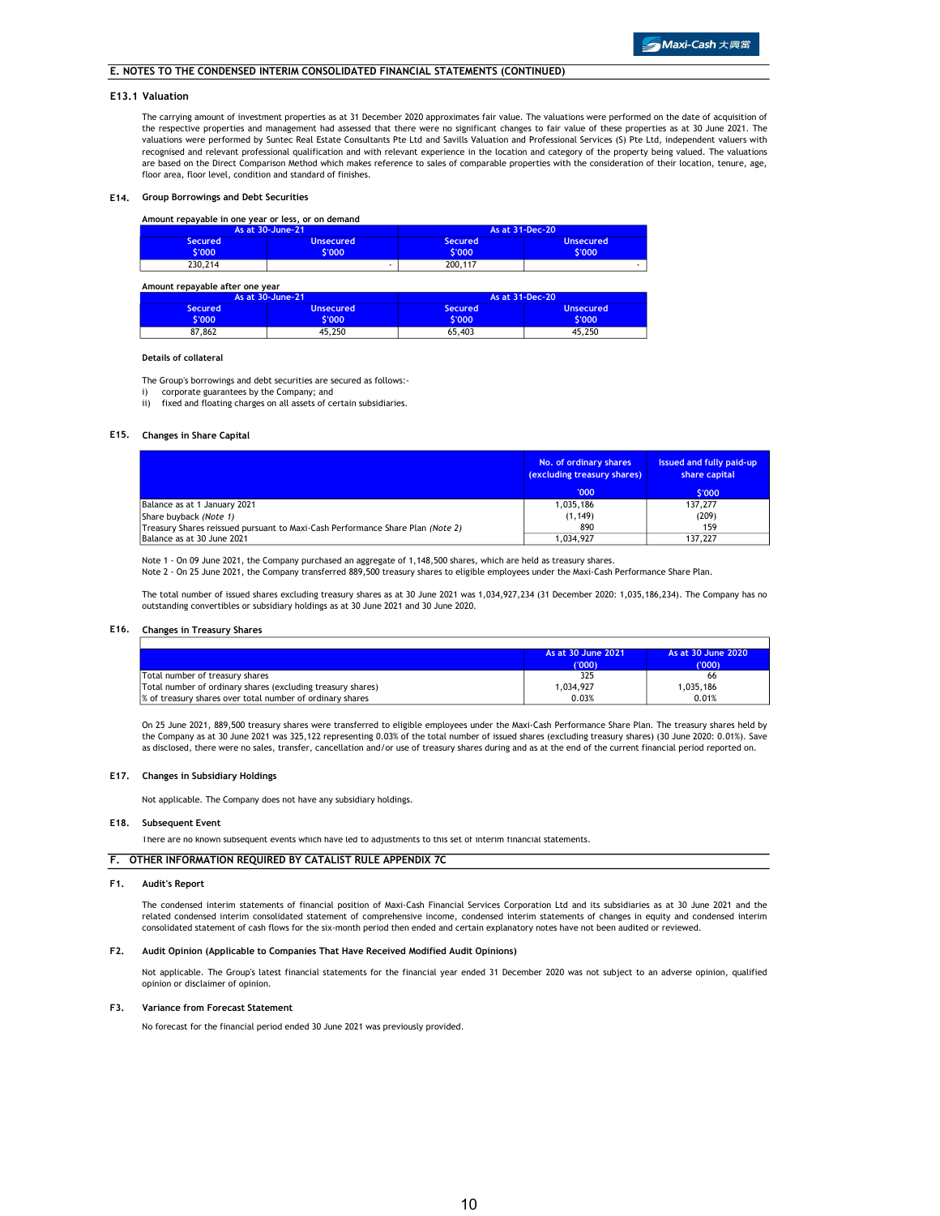The carrying amount of investment properties as at 31 December 2020 approximates fair value. The valuations were performed on the date of acquisition of the respective properties and management had assessed that there were no significant changes to fair value of these properties as at 30 June 2021. The valuations were performed by Suntec Real Estate Consultants Pte Ltd and Savills Valuation and Professional Services (S) Pte Ltd, independent valuers with recognised and relevant professional qualification and with relevant experience in the location and category of the property being valued. The valuations are based on the Direct Comparison Method which makes reference to sales of comparable properties with the consideration of their location, tenure, age, floor area, floor level, condition and standard of finishes.

### E14. Group Borrowings and Debt Securities

### Amount repayable in one year or less, or on demand

|                   | As at 30-June-21           |                          | As at 31-Dec-20            |
|-------------------|----------------------------|--------------------------|----------------------------|
| Secured<br>\$'000 | <b>Unsecured</b><br>\$'000 | <b>Secured</b><br>S'000' | <b>Unsecured</b><br>\$'000 |
| 230,214           |                            | 200,117                  | -                          |

#### Amount repayable after one year Secured Unsecured Secured Unsecured \$'000 \$'000 87,862 45,250 65,403 45,250 \$'000 As at 30-June-21 \$'000 As at 31-Dec-20

### Details of collateral

The Group's borrowings and debt securities are secured as follows:-

i) corporate guarantees by the Company; and

ii) fixed and floating charges on all assets of certain subsidiaries.

### E15. Changes in Share Capital

|                                                                                | No. of ordinary shares<br>(excluding treasury shares) | Issued and fully paid-up<br>share capital |
|--------------------------------------------------------------------------------|-------------------------------------------------------|-------------------------------------------|
|                                                                                | '000'                                                 | \$'000                                    |
| Balance as at 1 January 2021                                                   | 1.035.186                                             | 137,277                                   |
| Share buyback (Note 1)                                                         | (1, 149)                                              | (209)                                     |
| Treasury Shares reissued pursuant to Maxi-Cash Performance Share Plan (Note 2) | 890                                                   | 159                                       |
| Balance as at 30 June 2021                                                     | 1,034,927                                             | 137.227                                   |

Note 1 - On 09 June 2021, the Company purchased an aggregate of 1,148,500 shares, which are held as treasury shares.<br>Note 2 - On 25 June 2021, the Company transferred 889,500 treasury shares to eligible employees under the

The total number of issued shares excluding treasury shares as at 30 June 2021 was 1,034,927,234 (31 December 2020: 1,035,186,234). The Company has no outstanding convertibles or subsidiary holdings as at 30 June 2021 and 30 June 2020.

### E16. Changes in Treasury Shares

|                                                             | As at 30 June 2021 | As at 30 June 2020 |
|-------------------------------------------------------------|--------------------|--------------------|
|                                                             | (000)              | ('000'             |
| Total number of treasury shares                             | 325                | 66                 |
| Total number of ordinary shares (excluding treasury shares) | 1.034.927          | 1.035.186          |
| % of treasury shares over total number of ordinary shares   | 0.03%              | 0.01%              |

On 25 June 2021, 889,500 treasury shares were transferred to eligible employees under the Maxi-Cash Performance Share Plan. The treasury shares held by the Company as at 30 June 2021 was 325,122 representing 0.03% of the total number of issued shares (excluding treasury shares) (30 June 2020: 0.01%). Save as disclosed, there were no sales, transfer, cancellation and/or use of treasury shares during and as at the end of the current financial period reported on.

#### E17. Changes in Subsidiary Holdings

Not applicable. The Company does not have any subsidiary holdings.

#### E18. Subsequent Event

There are no known subsequent events which have led to adjustments to this set of interim financial statements.

## F. OTHER INFORMATION REQUIRED BY CATALIST RULE APPENDIX 7C

### F1. Audit's Report

The condensed interim statements of financial position of Maxi-Cash Financial Services Corporation Ltd and its subsidiaries as at 30 June 2021 and the related condensed interim consolidated statement of comprehensive income, condensed interim statements of changes in equity and condensed interim consolidated statement of cash flows for the six-month period then ended and certain explanatory notes have not been audited or reviewed.

### F2. Audit Opinion (Applicable to Companies That Have Received Modified Audit Opinions)

Not applicable. The Group's latest financial statements for the financial year ended 31 December 2020 was not subject to an adverse opinion, qualified opinion or disclaimer of opinion.

#### F3. Variance from Forecast Statement

No forecast for the financial period ended 30 June 2021 was previously provided.